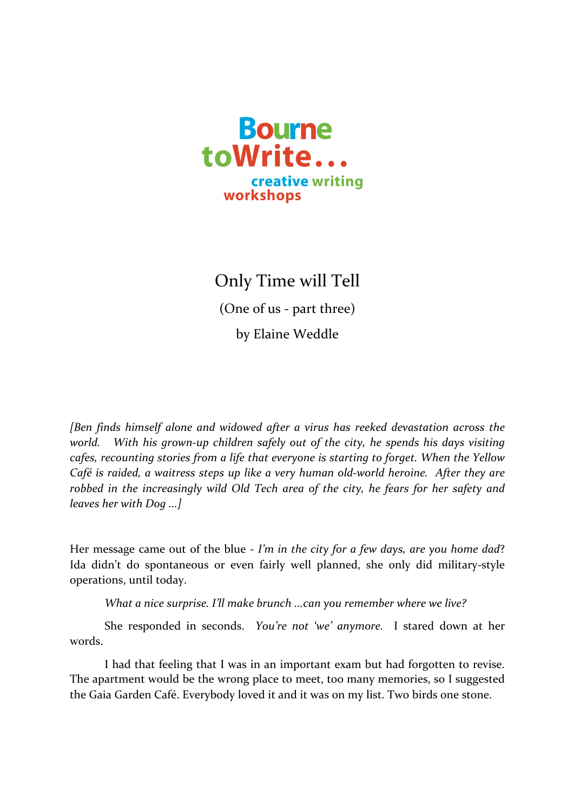

## Only Time will Tell (One of us - part three) by Elaine Weddle

*[Ben finds himself alone and widowed after a virus has reeked devastation across the world.* With his grown-up children safely out of the city, he spends his days visiting *cafes, recounting stories from a life that everyone is starting to forget. When the Yellow Café* is raided, a waitress steps up like a very human old-world heroine. After they are *robbed* in the increasingly wild Old Tech area of the city, he fears for her safety and *leaves her* with Dog ...]

Her message came out of the blue - *I'm* in the city for a few days, are you home dad? Ida didn't do spontaneous or even fairly well planned, she only did military-style operations, until today.

*What a nice surprise. I'll make brunch ...can you remember where we live?* 

She responded in seconds. *You're not 'we' anymore*. I stared down at her words.

I had that feeling that I was in an important exam but had forgotten to revise. The apartment would be the wrong place to meet, too many memories, so I suggested the Gaia Garden Café. Everybody loved it and it was on my list. Two birds one stone.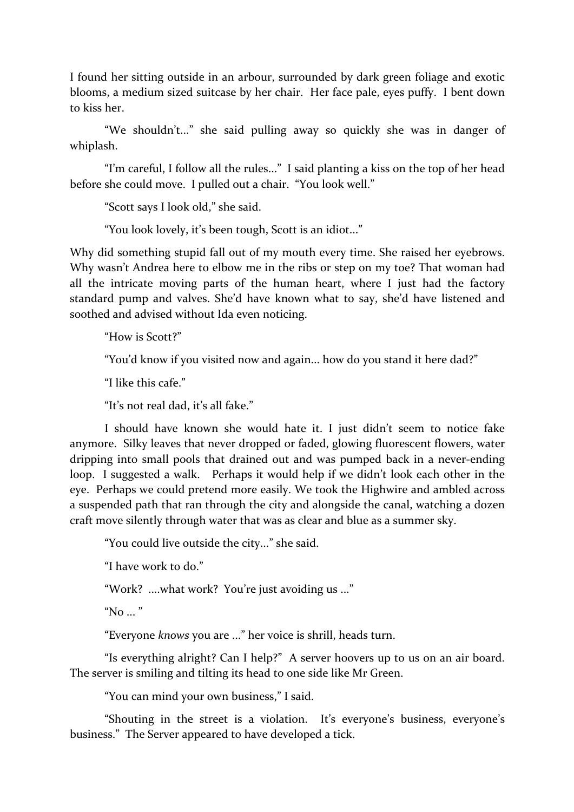I found her sitting outside in an arbour, surrounded by dark green foliage and exotic blooms, a medium sized suitcase by her chair. Her face pale, eyes puffy. I bent down to kiss her.

"We shouldn't..." she said pulling away so quickly she was in danger of whiplash. 

"I'm careful, I follow all the rules..." I said planting a kiss on the top of her head before she could move. I pulled out a chair. "You look well."

"Scott says I look old," she said.

"You look lovely, it's been tough, Scott is an idiot..."

Why did something stupid fall out of my mouth every time. She raised her eyebrows. Why wasn't Andrea here to elbow me in the ribs or step on my toe? That woman had all the intricate moving parts of the human heart, where I just had the factory standard pump and valves. She'd have known what to say, she'd have listened and soothed and advised without Ida even noticing.

"How is Scott?"

"You'd know if you visited now and again... how do you stand it here dad?"

"I like this cafe."

"It's not real dad, it's all fake."

I should have known she would hate it. I just didn't seem to notice fake anymore. Silky leaves that never dropped or faded, glowing fluorescent flowers, water dripping into small pools that drained out and was pumped back in a never-ending loop. I suggested a walk. Perhaps it would help if we didn't look each other in the eye. Perhaps we could pretend more easily. We took the Highwire and ambled across a suspended path that ran through the city and alongside the canal, watching a dozen craft move silently through water that was as clear and blue as a summer sky.

"You could live outside the city..." she said.

"I have work to do."

"Work? ....what work? You're just avoiding us ..."

"No  $\ldots$ "

"Everyone *knows* you are ..." her voice is shrill, heads turn.

"Is everything alright? Can I help?" A server hoovers up to us on an air board. The server is smiling and tilting its head to one side like Mr Green.

"You can mind your own business," I said.

"Shouting in the street is a violation. It's everyone's business, everyone's business." The Server appeared to have developed a tick.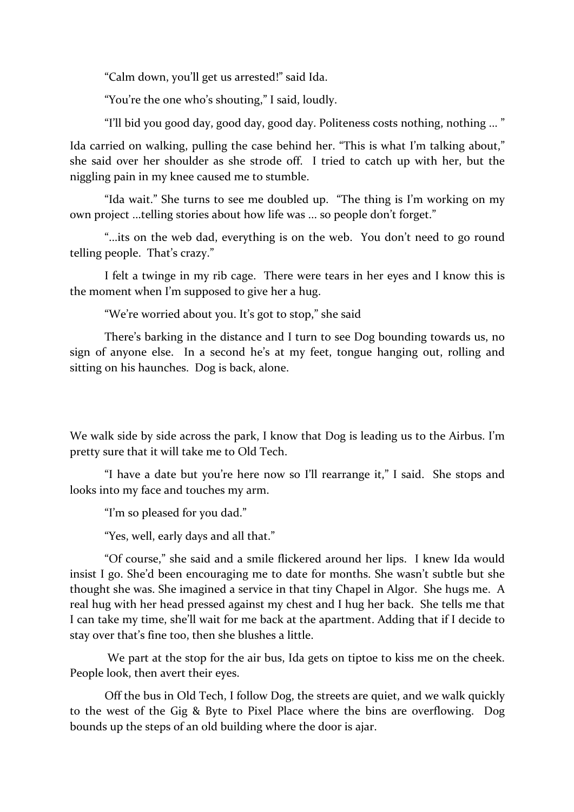"Calm down, you'll get us arrested!" said Ida.

"You're the one who's shouting," I said, loudly.

"I'll bid you good day, good day, good day. Politeness costs nothing, nothing ..."

Ida carried on walking, pulling the case behind her. "This is what I'm talking about," she said over her shoulder as she strode off. I tried to catch up with her, but the niggling pain in my knee caused me to stumble.

"Ida wait." She turns to see me doubled up. "The thing is I'm working on my own project ...telling stories about how life was ... so people don't forget."

"...its on the web dad, everything is on the web. You don't need to go round telling people. That's crazy."

I felt a twinge in my rib cage. There were tears in her eyes and I know this is the moment when I'm supposed to give her a hug.

"We're worried about you. It's got to stop," she said

There's barking in the distance and I turn to see Dog bounding towards us, no sign of anyone else. In a second he's at my feet, tongue hanging out, rolling and sitting on his haunches. Dog is back, alone.

We walk side by side across the park, I know that Dog is leading us to the Airbus. I'm pretty sure that it will take me to Old Tech.

"I have a date but you're here now so I'll rearrange it," I said. She stops and looks into my face and touches my arm.

"I'm so pleased for you dad."

"Yes, well, early days and all that."

"Of course," she said and a smile flickered around her lips. I knew Ida would insist I go. She'd been encouraging me to date for months. She wasn't subtle but she thought she was. She imagined a service in that tiny Chapel in Algor. She hugs me. A real hug with her head pressed against my chest and I hug her back. She tells me that I can take my time, she'll wait for me back at the apartment. Adding that if I decide to stay over that's fine too, then she blushes a little.

We part at the stop for the air bus, Ida gets on tiptoe to kiss me on the cheek. People look, then avert their eves.

Off the bus in Old Tech, I follow Dog, the streets are quiet, and we walk quickly to the west of the Gig & Byte to Pixel Place where the bins are overflowing. Dog bounds up the steps of an old building where the door is ajar.